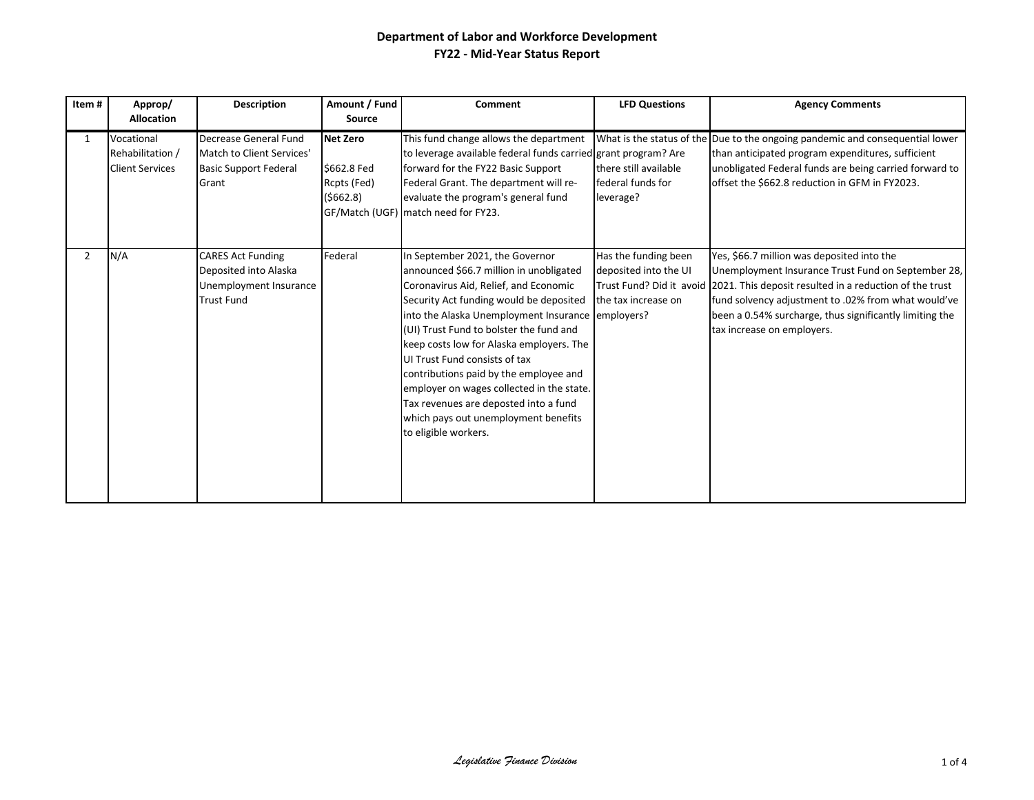| Item#          | Approp/<br><b>Allocation</b>                             | <b>Description</b>                                                                               | Amount / Fund<br><b>Source</b>                              | Comment                                                                                                                                                                                                                                                                                                                                                                                                                                                                                                                                     | <b>LFD Questions</b>                                                 | <b>Agency Comments</b>                                                                                                                                                                                                                                                                                                               |
|----------------|----------------------------------------------------------|--------------------------------------------------------------------------------------------------|-------------------------------------------------------------|---------------------------------------------------------------------------------------------------------------------------------------------------------------------------------------------------------------------------------------------------------------------------------------------------------------------------------------------------------------------------------------------------------------------------------------------------------------------------------------------------------------------------------------------|----------------------------------------------------------------------|--------------------------------------------------------------------------------------------------------------------------------------------------------------------------------------------------------------------------------------------------------------------------------------------------------------------------------------|
| $\mathbf{1}$   | Vocational<br>Rehabilitation /<br><b>Client Services</b> | Decrease General Fund<br>Match to Client Services'<br><b>Basic Support Federal</b><br>Grant      | <b>Net Zero</b><br>\$662.8 Fed<br>Rcpts (Fed)<br>( \$662.8) | This fund change allows the department<br>to leverage available federal funds carried grant program? Are<br>forward for the FY22 Basic Support<br>Federal Grant. The department will re-<br>evaluate the program's general fund<br>GF/Match (UGF) match need for FY23.                                                                                                                                                                                                                                                                      | there still available<br>federal funds for<br>leverage?              | What is the status of the Due to the ongoing pandemic and consequential lower<br>than anticipated program expenditures, sufficient<br>unobligated Federal funds are being carried forward to<br>offset the \$662.8 reduction in GFM in FY2023.                                                                                       |
| $\overline{2}$ | N/A                                                      | <b>CARES Act Funding</b><br>Deposited into Alaska<br>Unemployment Insurance<br><b>Trust Fund</b> | Federal                                                     | In September 2021, the Governor<br>announced \$66.7 million in unobligated<br>Coronavirus Aid, Relief, and Economic<br>Security Act funding would be deposited<br>into the Alaska Unemployment Insurance employers?<br>(UI) Trust Fund to bolster the fund and<br>keep costs low for Alaska employers. The<br>UI Trust Fund consists of tax<br>contributions paid by the employee and<br>employer on wages collected in the state.<br>Tax revenues are deposted into a fund<br>which pays out unemployment benefits<br>to eligible workers. | Has the funding been<br>deposited into the UI<br>the tax increase on | Yes, \$66.7 million was deposited into the<br>Unemployment Insurance Trust Fund on September 28,<br>Trust Fund? Did it avoid 2021. This deposit resulted in a reduction of the trust<br>fund solvency adjustment to .02% from what would've<br>been a 0.54% surcharge, thus significantly limiting the<br>tax increase on employers. |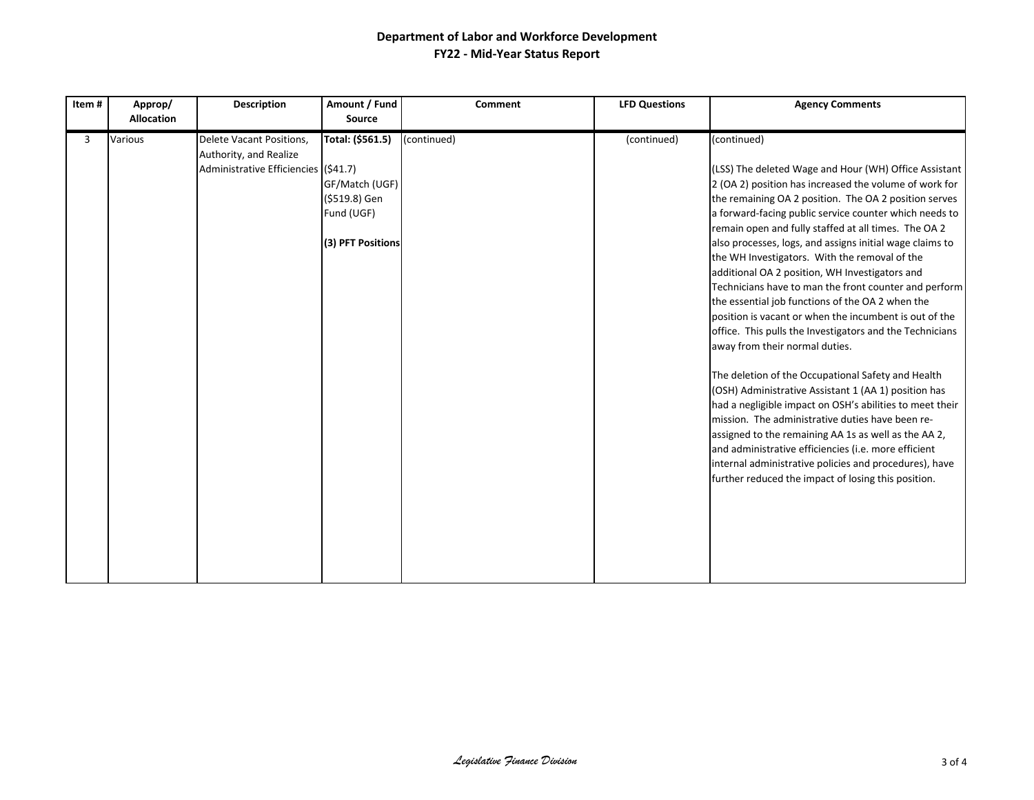| Item# | Approp/<br><b>Description</b><br><b>Allocation</b>                                                    |  | Amount / Fund<br>Source                                                                | Comment     | <b>LFD Questions</b> | <b>Agency Comments</b>                                                                                                                                                                                                                                                                                                                                                                                                                                                                                                                                                                                                                                                                                                                                                                                                                                                                                                                                                                                                                                                                                                                                                                                       |
|-------|-------------------------------------------------------------------------------------------------------|--|----------------------------------------------------------------------------------------|-------------|----------------------|--------------------------------------------------------------------------------------------------------------------------------------------------------------------------------------------------------------------------------------------------------------------------------------------------------------------------------------------------------------------------------------------------------------------------------------------------------------------------------------------------------------------------------------------------------------------------------------------------------------------------------------------------------------------------------------------------------------------------------------------------------------------------------------------------------------------------------------------------------------------------------------------------------------------------------------------------------------------------------------------------------------------------------------------------------------------------------------------------------------------------------------------------------------------------------------------------------------|
| 3     | Various<br>Delete Vacant Positions,<br>Authority, and Realize<br>Administrative Efficiencies (\$41.7) |  | Total: (\$561.5)<br>GF/Match (UGF)<br>(\$519.8) Gen<br>Fund (UGF)<br>(3) PFT Positions | (continued) | (continued)          | (continued)<br>(LSS) The deleted Wage and Hour (WH) Office Assistant<br>2 (OA 2) position has increased the volume of work for<br>the remaining OA 2 position. The OA 2 position serves<br>a forward-facing public service counter which needs to<br>remain open and fully staffed at all times. The OA 2<br>also processes, logs, and assigns initial wage claims to<br>the WH Investigators. With the removal of the<br>additional OA 2 position, WH Investigators and<br>Technicians have to man the front counter and perform<br>the essential job functions of the OA 2 when the<br>position is vacant or when the incumbent is out of the<br>office. This pulls the Investigators and the Technicians<br>away from their normal duties.<br>The deletion of the Occupational Safety and Health<br>(OSH) Administrative Assistant 1 (AA 1) position has<br>had a negligible impact on OSH's abilities to meet their<br>mission. The administrative duties have been re-<br>assigned to the remaining AA 1s as well as the AA 2,<br>and administrative efficiencies (i.e. more efficient<br>internal administrative policies and procedures), have<br>further reduced the impact of losing this position. |